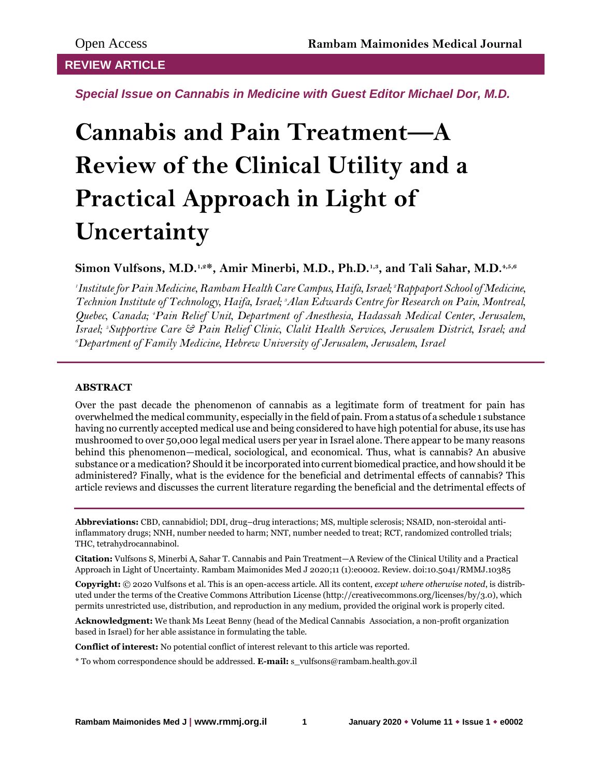# **REVIEW ARTICLE**

*Special Issue on Cannabis in Medicine with Guest Editor Michael Dor, M.D.*

# **Cannabis and Pain Treatment—A Review of the Clinical Utility and a Practical Approach in Light of Uncertainty**

**Simon Vulfsons, M.D.1,2\*, Amir Minerbi, M.D., Ph.D.1,3, and Tali Sahar, M.D.4,5,6**

*1 Institute for Pain Medicine, Rambam Health Care Campus, Haifa, Israel; 2Rappaport School of Medicine, Technion Institute of Technology, Haifa, Israel; 3Alan Edwards Centre for Research on Pain, Montreal, Quebec, Canada; 4Pain Relief Unit, Department of Anesthesia, Hadassah Medical Center, Jerusalem, Israel; 5Supportive Care & Pain Relief Clinic, Clalit Health Services, Jerusalem District, Israel; and <sup>6</sup>Department of Family Medicine, Hebrew University of Jerusalem, Jerusalem, Israel*

# **ABSTRACT**

Over the past decade the phenomenon of cannabis as a legitimate form of treatment for pain has overwhelmed the medical community, especially in the field of pain. From a status of a schedule 1 substance having no currently accepted medical use and being considered to have high potential for abuse, its use has mushroomed to over 50,000 legal medical users per year in Israel alone. There appear to be many reasons behind this phenomenon—medical, sociological, and economical. Thus, what is cannabis? An abusive substance or a medication? Should it be incorporated into current biomedical practice, and how should it be administered? Finally, what is the evidence for the beneficial and detrimental effects of cannabis? This article reviews and discusses the current literature regarding the beneficial and the detrimental effects of

**Abbreviations:** CBD, cannabidiol; DDI, drug–drug interactions; MS, multiple sclerosis; NSAID, non-steroidal antiinflammatory drugs; NNH, number needed to harm; NNT, number needed to treat; RCT, randomized controlled trials; THC, tetrahydrocannabinol.

**Citation:** Vulfsons S, Minerbi A, Sahar T. Cannabis and Pain Treatment—A Review of the Clinical Utility and a Practical Approach in Light of Uncertainty. Rambam Maimonides Med J 2020;11 (1):e0002. Review. doi:10.5041/RMMJ.10385

**Copyright:** © 2020 Vulfsons et al. This is an open-access article. All its content, *except where otherwise noted*, is distributed under the terms of the Creative Commons Attribution License (http://creativecommons.org/licenses/by/3.0), which permits unrestricted use, distribution, and reproduction in any medium, provided the original work is properly cited.

**Acknowledgment:** We thank Ms Leeat Benny (head of the Medical Cannabis Association, a non-profit organization based in Israel) for her able assistance in formulating the table.

**Conflict of interest:** No potential conflict of interest relevant to this article was reported.

\* To whom correspondence should be addressed. **E-mail:** s\_vulfsons@rambam.health.gov.il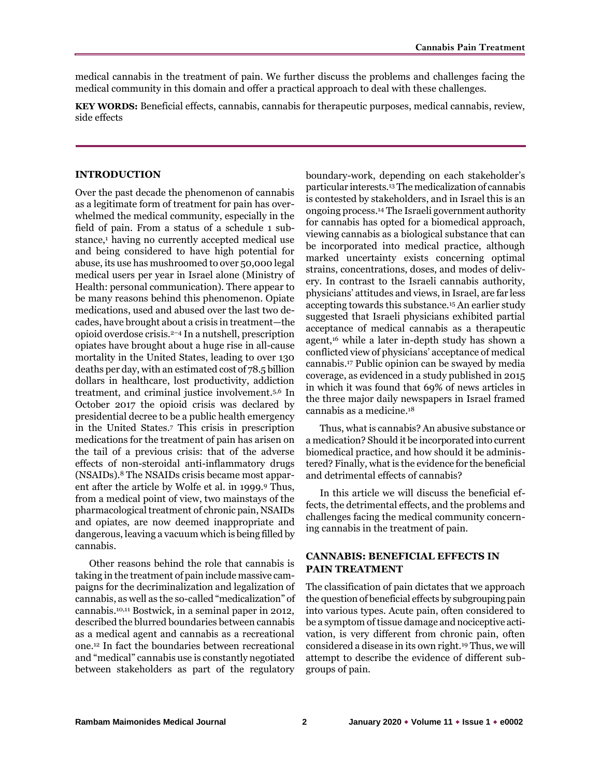medical cannabis in the treatment of pain. We further discuss the problems and challenges facing the medical community in this domain and offer a practical approach to deal with these challenges.

**KEY WORDS:** Beneficial effects, cannabis, cannabis for therapeutic purposes, medical cannabis, review, side effects

#### **INTRODUCTION**

Over the past decade the phenomenon of cannabis as a legitimate form of treatment for pain has overwhelmed the medical community, especially in the field of pain. From a status of a schedule 1 substance,<sup>1</sup> having no currently accepted medical use and being considered to have high potential for abuse, its use has mushroomed to over 50,000 legal medical users per year in Israel alone (Ministry of Health: personal communication). There appear to be many reasons behind this phenomenon. Opiate medications, used and abused over the last two decades, have brought about a crisis in treatment—the opioid overdose crisis.2–<sup>4</sup> In a nutshell, prescription opiates have brought about a huge rise in all-cause mortality in the United States, leading to over 130 deaths per day, with an estimated cost of 78.5 billion dollars in healthcare, lost productivity, addiction treatment, and criminal justice involvement.5,6 In October 2017 the opioid crisis was declared by presidential decree to be a public health emergency in the United States.<sup>7</sup> This crisis in prescription medications for the treatment of pain has arisen on the tail of a previous crisis: that of the adverse effects of non-steroidal anti-inflammatory drugs (NSAIDs).<sup>8</sup> The NSAIDs crisis became most apparent after the article by Wolfe et al. in 1999.<sup>9</sup> Thus, from a medical point of view, two mainstays of the pharmacological treatment of chronic pain, NSAIDs and opiates, are now deemed inappropriate and dangerous, leaving a vacuum which is being filled by cannabis.

Other reasons behind the role that cannabis is taking in the treatment of pain include massive campaigns for the decriminalization and legalization of cannabis, as well as the so-called "medicalization" of cannabis.10,11 Bostwick, in a seminal paper in 2012, described the blurred boundaries between cannabis as a medical agent and cannabis as a recreational one.<sup>12</sup> In fact the boundaries between recreational and "medical" cannabis use is constantly negotiated between stakeholders as part of the regulatory

boundary-work, depending on each stakeholder's particular interests.<sup>13</sup> The medicalization of cannabis is contested by stakeholders, and in Israel this is an ongoing process.<sup>14</sup> The Israeli government authority for cannabis has opted for a biomedical approach, viewing cannabis as a biological substance that can be incorporated into medical practice, although marked uncertainty exists concerning optimal strains, concentrations, doses, and modes of delivery. In contrast to the Israeli cannabis authority, physicians' attitudes and views, in Israel, are far less accepting towards this substance.<sup>15</sup> An earlier study suggested that Israeli physicians exhibited partial acceptance of medical cannabis as a therapeutic agent,<sup>16</sup> while a later in-depth study has shown a conflicted view of physicians' acceptance of medical cannabis.<sup>17</sup> Public opinion can be swayed by media coverage, as evidenced in a study published in 2015 in which it was found that 69% of news articles in the three major daily newspapers in Israel framed cannabis as a medicine.<sup>18</sup>

Thus, what is cannabis? An abusive substance or a medication? Should it be incorporated into current biomedical practice, and how should it be administered? Finally, what is the evidence for the beneficial and detrimental effects of cannabis?

In this article we will discuss the beneficial effects, the detrimental effects, and the problems and challenges facing the medical community concerning cannabis in the treatment of pain.

# **CANNABIS: BENEFICIAL EFFECTS IN PAIN TREATMENT**

The classification of pain dictates that we approach the question of beneficial effects by subgrouping pain into various types. Acute pain, often considered to be a symptom of tissue damage and nociceptive activation, is very different from chronic pain, often considered a disease in its own right.<sup>19</sup> Thus, we will attempt to describe the evidence of different subgroups of pain.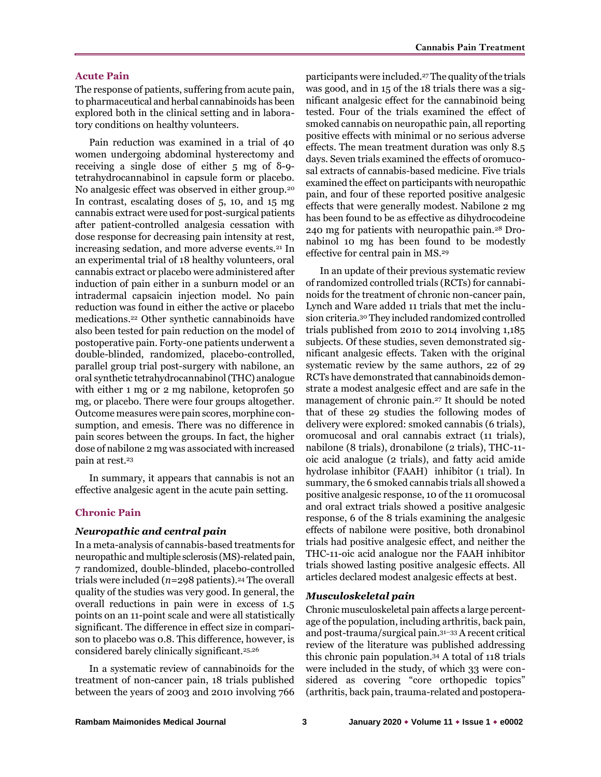## **Acute Pain**

The response of patients, suffering from acute pain, to pharmaceutical and herbal cannabinoids has been explored both in the clinical setting and in laboratory conditions on healthy volunteers.

Pain reduction was examined in a trial of 40 women undergoing abdominal hysterectomy and receiving a single dose of either 5 mg of δ-9 tetrahydrocannabinol in capsule form or placebo. No analgesic effect was observed in either group.<sup>20</sup> In contrast, escalating doses of 5, 10, and 15 mg cannabis extract were used for post-surgical patients after patient-controlled analgesia cessation with dose response for decreasing pain intensity at rest, increasing sedation, and more adverse events.<sup>21</sup> In an experimental trial of 18 healthy volunteers, oral cannabis extract or placebo were administered after induction of pain either in a sunburn model or an intradermal capsaicin injection model. No pain reduction was found in either the active or placebo medications.<sup>22</sup> Other synthetic cannabinoids have also been tested for pain reduction on the model of postoperative pain. Forty-one patients underwent a double-blinded, randomized, placebo-controlled, parallel group trial post-surgery with nabilone, an oral synthetic tetrahydrocannabinol (THC) analogue with either 1 mg or 2 mg nabilone, ketoprofen 50 mg, or placebo. There were four groups altogether. Outcome measures were pain scores, morphine consumption, and emesis. There was no difference in pain scores between the groups. In fact, the higher dose of nabilone 2 mg was associated with increased pain at rest.<sup>23</sup>

In summary, it appears that cannabis is not an effective analgesic agent in the acute pain setting.

# **Chronic Pain**

#### *Neuropathic and central pain*

In a meta-analysis of cannabis-based treatments for neuropathic and multiple sclerosis (MS)-related pain, 7 randomized, double-blinded, placebo-controlled trials were included  $(n=298 \text{ patients})$ .<sup>24</sup> The overall quality of the studies was very good. In general, the overall reductions in pain were in excess of 1.5 points on an 11-point scale and were all statistically significant. The difference in effect size in comparison to placebo was 0.8. This difference, however, is considered barely clinically significant.25,26

In a systematic review of cannabinoids for the treatment of non-cancer pain, 18 trials published between the years of 2003 and 2010 involving 766

participants were included.<sup>27</sup> The quality of the trials was good, and in 15 of the 18 trials there was a significant analgesic effect for the cannabinoid being tested. Four of the trials examined the effect of smoked cannabis on neuropathic pain, all reporting positive effects with minimal or no serious adverse effects. The mean treatment duration was only 8.5 days. Seven trials examined the effects of oromucosal extracts of cannabis-based medicine. Five trials examined the effect on participants with neuropathic pain, and four of these reported positive analgesic effects that were generally modest. Nabilone 2 mg has been found to be as effective as dihydrocodeine 240 mg for patients with neuropathic pain.<sup>28</sup> Dronabinol 10 mg has been found to be modestly effective for central pain in MS.<sup>29</sup>

In an update of their previous systematic review of randomized controlled trials (RCTs) for cannabinoids for the treatment of chronic non-cancer pain, Lynch and Ware added 11 trials that met the inclusion criteria.<sup>30</sup> They included randomized controlled trials published from 2010 to 2014 involving 1,185 subjects. Of these studies, seven demonstrated significant analgesic effects. Taken with the original systematic review by the same authors, 22 of 29 RCTs have demonstrated that cannabinoids demonstrate a modest analgesic effect and are safe in the management of chronic pain.<sup>27</sup> It should be noted that of these 29 studies the following modes of delivery were explored: smoked cannabis (6 trials), oromucosal and oral cannabis extract (11 trials), nabilone (8 trials), dronabilone (2 trials), THC-11 oic acid analogue (2 trials), and fatty acid amide hydrolase inhibitor (FAAH) inhibitor (1 trial). In summary, the 6 smoked cannabis trials all showed a positive analgesic response, 10 of the 11 oromucosal and oral extract trials showed a positive analgesic response, 6 of the 8 trials examining the analgesic effects of nabilone were positive, both dronabinol trials had positive analgesic effect, and neither the THC-11-oic acid analogue nor the FAAH inhibitor trials showed lasting positive analgesic effects. All articles declared modest analgesic effects at best.

# *Musculoskeletal pain*

Chronic musculoskeletal pain affects a large percentage of the population, including arthritis, back pain, and post-trauma/surgical pain.31–<sup>33</sup> A recent critical review of the literature was published addressing this chronic pain population.<sup>34</sup> A total of 118 trials were included in the study, of which 33 were considered as covering "core orthopedic topics" (arthritis, back pain, trauma-related and postopera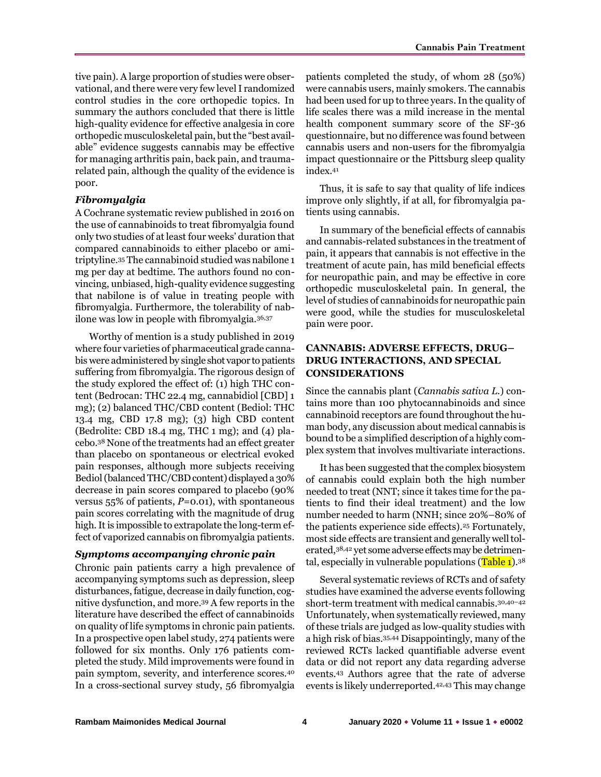tive pain). A large proportion of studies were observational, and there were very few level I randomized control studies in the core orthopedic topics. In summary the authors concluded that there is little high-quality evidence for effective analgesia in core orthopedic musculoskeletal pain, but the "best available" evidence suggests cannabis may be effective for managing arthritis pain, back pain, and traumarelated pain, although the quality of the evidence is poor.

# *Fibromyalgia*

A Cochrane systematic review published in 2016 on the use of cannabinoids to treat fibromyalgia found only two studies of at least four weeks' duration that compared cannabinoids to either placebo or amitriptyline.<sup>35</sup> The cannabinoid studied was nabilone 1 mg per day at bedtime. The authors found no convincing, unbiased, high-quality evidence suggesting that nabilone is of value in treating people with fibromyalgia. Furthermore, the tolerability of nabilone was low in people with fibromyalgia.36,37

Worthy of mention is a study published in 2019 where four varieties of pharmaceutical grade cannabis were administered by single shot vapor to patients suffering from fibromyalgia. The rigorous design of the study explored the effect of: (1) high THC content (Bedrocan: THC 22.4 mg, cannabidiol [CBD] 1 mg); (2) balanced THC/CBD content (Bediol: THC 13.4 mg, CBD 17.8 mg); (3) high CBD content (Bedrolite: CBD 18.4 mg, THC 1 mg); and (4) placebo.<sup>38</sup> None of the treatments had an effect greater than placebo on spontaneous or electrical evoked pain responses, although more subjects receiving Bediol (balanced THC/CBD content) displayed a 30% decrease in pain scores compared to placebo (90% versus 55% of patients, *P*=0.01), with spontaneous pain scores correlating with the magnitude of drug high. It is impossible to extrapolate the long-term effect of vaporized cannabis on fibromyalgia patients.

#### *Symptoms accompanying chronic pain*

Chronic pain patients carry a high prevalence of accompanying symptoms such as depression, sleep disturbances, fatigue, decrease in daily function, cognitive dysfunction, and more.<sup>39</sup> A few reports in the literature have described the effect of cannabinoids on quality of life symptoms in chronic pain patients. In a prospective open label study, 274 patients were followed for six months. Only 176 patients completed the study. Mild improvements were found in pain symptom, severity, and interference scores.<sup>40</sup> In a cross-sectional survey study, 56 fibromyalgia

patients completed the study, of whom 28 (50%) were cannabis users, mainly smokers. The cannabis had been used for up to three years. In the quality of life scales there was a mild increase in the mental health component summary score of the SF-36 questionnaire, but no difference was found between cannabis users and non-users for the fibromyalgia impact questionnaire or the Pittsburg sleep quality index.<sup>41</sup>

Thus, it is safe to say that quality of life indices improve only slightly, if at all, for fibromyalgia patients using cannabis.

In summary of the beneficial effects of cannabis and cannabis-related substances in the treatment of pain, it appears that cannabis is not effective in the treatment of acute pain, has mild beneficial effects for neuropathic pain, and may be effective in core orthopedic musculoskeletal pain. In general, the level of studies of cannabinoids for neuropathic pain were good, while the studies for musculoskeletal pain were poor.

# **CANNABIS: ADVERSE EFFECTS, DRUG– DRUG INTERACTIONS, AND SPECIAL CONSIDERATIONS**

Since the cannabis plant (*Cannabis sativa L.*) contains more than 100 phytocannabinoids and since cannabinoid receptors are found throughout the human body, any discussion about medical cannabis is bound to be a simplified description of a highly complex system that involves multivariate interactions.

It has been suggested that the complex biosystem of cannabis could explain both the high number needed to treat (NNT; since it takes time for the patients to find their ideal treatment) and the low number needed to harm (NNH; since 20%–80% of the patients experience side effects).<sup>25</sup> Fortunately, most side effects are transient and generally well tolerated,38,42 yet some adverse effects may be detrimental, especially in vulnerable populations  $(Table 1).38$ 

Several systematic reviews of RCTs and of safety studies have examined the adverse events following short-term treatment with medical cannabis.30,40–<sup>42</sup> Unfortunately, when systematically reviewed, many of these trials are judged as low-quality studies with a high risk of bias.35,44 Disappointingly, many of the reviewed RCTs lacked quantifiable adverse event data or did not report any data regarding adverse events.<sup>43</sup> Authors agree that the rate of adverse events is likely underreported.42,43 This may change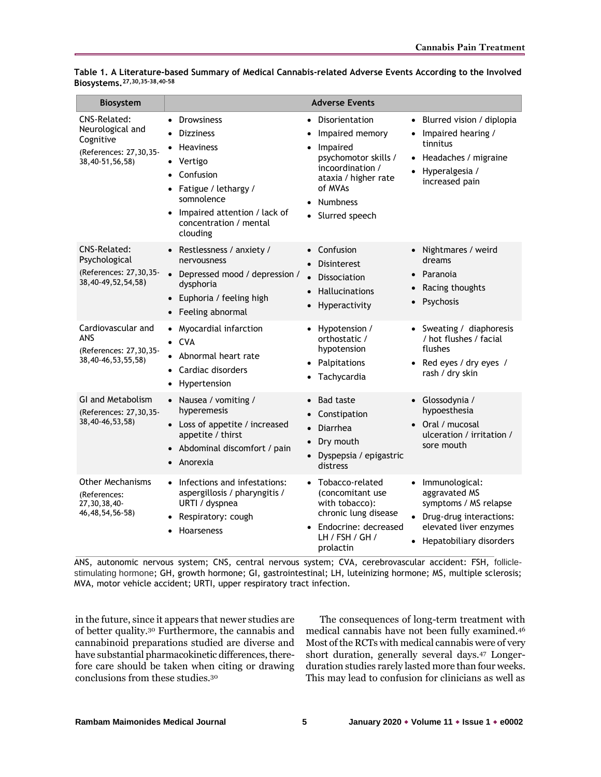| <b>Biosystem</b>                                                                           |                                                                                                                                                                                                                                            | <b>Adverse Events</b>                                                                                                                                                                                    |                                                                                                                                                                    |
|--------------------------------------------------------------------------------------------|--------------------------------------------------------------------------------------------------------------------------------------------------------------------------------------------------------------------------------------------|----------------------------------------------------------------------------------------------------------------------------------------------------------------------------------------------------------|--------------------------------------------------------------------------------------------------------------------------------------------------------------------|
| CNS-Related:<br>Neurological and<br>Cognitive<br>(References: 27,30,35-<br>38,40-51,56,58) | <b>Drowsiness</b><br>$\bullet$<br><b>Dizziness</b><br>Heaviness<br>Vertigo<br>$\bullet$<br>Confusion<br>$\bullet$<br>Fatigue / lethargy /<br>$\bullet$<br>somnolence<br>Impaired attention / lack of<br>concentration / mental<br>clouding | Disorientation<br>$\bullet$<br>Impaired memory<br>Impaired<br>$\bullet$<br>psychomotor skills /<br>incoordination /<br>ataxia / higher rate<br>of MVAs<br><b>Numbness</b><br>Slurred speech<br>$\bullet$ | • Blurred vision / diplopia<br>Impaired hearing /<br>٠<br>tinnitus<br>Headaches / migraine<br>$\bullet$<br>Hyperalgesia /<br>$\bullet$<br>increased pain           |
| CNS-Related:<br>Psychological<br>(References: 27,30,35-<br>38,40-49,52,54,58)              | • Restlessness / anxiety /<br>nervousness<br>• Depressed mood / depression /<br>dysphoria<br>Euphoria / feeling high<br>$\bullet$<br>Feeling abnormal                                                                                      | Confusion<br>$\bullet$<br><b>Disinterest</b><br>Dissociation<br><b>Hallucinations</b><br>Hyperactivity<br>$\bullet$                                                                                      | • Nightmares / weird<br>dreams<br>Paranoia<br>$\bullet$<br>Racing thoughts<br>Psychosis                                                                            |
| Cardiovascular and<br>ANS<br>(References: 27,30,35-<br>38,40-46,53,55,58)                  | Myocardial infarction<br>$\bullet$<br>$\bullet$ CVA<br>Abnormal heart rate<br>Cardiac disorders<br>Hypertension                                                                                                                            | Hypotension /<br>$\bullet$<br>orthostatic /<br>hypotension<br>Palpitations<br>Tachycardia                                                                                                                | • Sweating / diaphoresis<br>/ hot flushes / facial<br>flushes<br>Red eyes / dry eyes /<br>$\bullet$<br>rash / dry skin                                             |
| <b>GI and Metabolism</b><br>(References: 27,30,35-<br>38,40-46,53,58)                      | • Nausea / vomiting /<br>hyperemesis<br>• Loss of appetite / increased<br>appetite / thirst<br>Abdominal discomfort / pain<br>Anorexia                                                                                                     | <b>Bad taste</b><br>$\bullet$<br>Constipation<br>Diarrhea<br>$\bullet$<br>Dry mouth<br>Dyspepsia / epigastric<br>distress                                                                                | Glossodynia /<br>$\bullet$<br>hypoesthesia<br>Oral / mucosal<br>$\bullet$<br>ulceration / irritation /<br>sore mouth                                               |
| Other Mechanisms<br>(References:<br>27,30,38,40-<br>46, 48, 54, 56-58)                     | Infections and infestations:<br>$\bullet$<br>aspergillosis / pharyngitis /<br>URTI / dyspnea<br>Respiratory: cough<br><b>Hoarseness</b>                                                                                                    | Tobacco-related<br>$\bullet$<br>(concomitant use<br>with tobacco):<br>chronic lung disease<br>Endocrine: decreased<br>LH / FSH / GH /<br>prolactin                                                       | Immunological:<br>$\bullet$<br>aggravated MS<br>symptoms / MS relapse<br>Drug-drug interactions:<br>elevated liver enzymes<br>Hepatobiliary disorders<br>$\bullet$ |

**Table 1. A Literature-based Summary of Medical Cannabis-related Adverse Events According to the Involved Biosystems.27,30,35–38,40–<sup>58</sup>**

ANS, autonomic nervous system; CNS, central nervous system; CVA, cerebrovascular accident: FSH, folliclestimulating hormone; GH, growth hormone; GI, gastrointestinal; LH, luteinizing hormone; MS, multiple sclerosis; MVA, motor vehicle accident; URTI, upper respiratory tract infection.

in the future, since it appears that newer studies are of better quality.<sup>30</sup> Furthermore, the cannabis and cannabinoid preparations studied are diverse and have substantial pharmacokinetic differences, therefore care should be taken when citing or drawing conclusions from these studies.<sup>30</sup>

The consequences of long-term treatment with medical cannabis have not been fully examined.<sup>46</sup> Most of the RCTs with medical cannabis were of very short duration, generally several days.<sup>47</sup> Longerduration studies rarely lasted more than four weeks. This may lead to confusion for clinicians as well as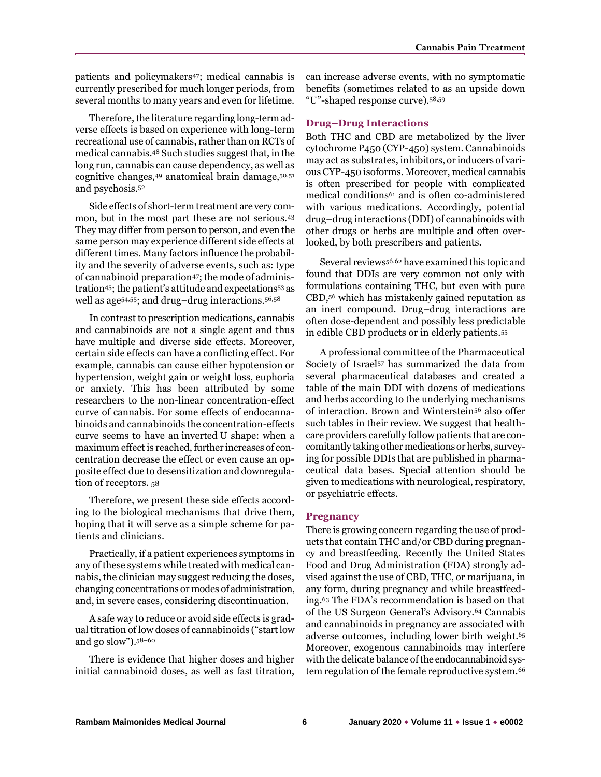patients and policymakers47; medical cannabis is currently prescribed for much longer periods, from several months to many years and even for lifetime.

Therefore, the literature regarding long-term adverse effects is based on experience with long-term recreational use of cannabis, rather than on RCTs of medical cannabis.<sup>48</sup> Such studies suggest that, in the long run, cannabis can cause dependency, as well as cognitive changes,<sup>49</sup> anatomical brain damage,50,51 and psychosis.<sup>52</sup>

Side effects of short-term treatment are very common, but in the most part these are not serious.<sup>43</sup> They may differ from person to person, and even the same person may experience different side effects at different times. Many factors influence the probability and the severity of adverse events, such as: type of cannabinoid preparation<sup>47</sup>; the mode of administration45; the patient's attitude and expectations<sup>53</sup> as well as age54,55; and drug–drug interactions.56,58

In contrast to prescription medications, cannabis and cannabinoids are not a single agent and thus have multiple and diverse side effects. Moreover, certain side effects can have a conflicting effect. For example, cannabis can cause either hypotension or hypertension, weight gain or weight loss, euphoria or anxiety. This has been attributed by some researchers to the non-linear concentration-effect curve of cannabis. For some effects of endocannabinoids and cannabinoids the concentration-effects curve seems to have an inverted U shape: when a maximum effect is reached, further increases of concentration decrease the effect or even cause an opposite effect due to desensitization and downregulation of receptors. 58

Therefore, we present these side effects according to the biological mechanisms that drive them, hoping that it will serve as a simple scheme for patients and clinicians.

Practically, if a patient experiences symptoms in any of these systems while treated with medical cannabis, the clinician may suggest reducing the doses, changing concentrations or modes of administration, and, in severe cases, considering discontinuation.

A safe way to reduce or avoid side effects is gradual titration of low doses of cannabinoids ("start low and go slow").58–<sup>60</sup>

There is evidence that higher doses and higher initial cannabinoid doses, as well as fast titration,

can increase adverse events, with no symptomatic benefits (sometimes related to as an upside down "U"-shaped response curve).58,59

#### **Drug–Drug Interactions**

Both THC and CBD are metabolized by the liver cytochrome P450 (CYP-450) system. Cannabinoids may act as substrates, inhibitors, or inducers of various CYP-450 isoforms. Moreover, medical cannabis is often prescribed for people with complicated medical conditions<sup>61</sup> and is often co-administered with various medications. Accordingly, potential drug–drug interactions (DDI) of cannabinoids with other drugs or herbs are multiple and often overlooked, by both prescribers and patients.

Several reviews56,62 have examined this topic and found that DDIs are very common not only with formulations containing THC, but even with pure CBD,<sup>56</sup> which has mistakenly gained reputation as an inert compound. Drug–drug interactions are often dose-dependent and possibly less predictable in edible CBD products or in elderly patients.<sup>55</sup>

A professional committee of the Pharmaceutical Society of Israel<sup>57</sup> has summarized the data from several pharmaceutical databases and created a table of the main DDI with dozens of medications and herbs according to the underlying mechanisms of interaction. Brown and Winterstein<sup>56</sup> also offer such tables in their review. We suggest that healthcare providers carefully follow patients that are concomitantly taking other medications or herbs, surveying for possible DDIs that are published in pharmaceutical data bases. Special attention should be given to medications with neurological, respiratory, or psychiatric effects.

#### **Pregnancy**

There is growing concern regarding the use of products that contain THC and/or CBD during pregnancy and breastfeeding. Recently the United States Food and Drug Administration (FDA) strongly advised against the use of CBD, THC, or marijuana, in any form, during pregnancy and while breastfeeding.<sup>63</sup> The FDA's recommendation is based on that of the US Surgeon General's Advisory.<sup>64</sup> Cannabis and cannabinoids in pregnancy are associated with adverse outcomes, including lower birth weight.<sup>65</sup> Moreover, exogenous cannabinoids may interfere with the delicate balance of the endocannabinoid system regulation of the female reproductive system.66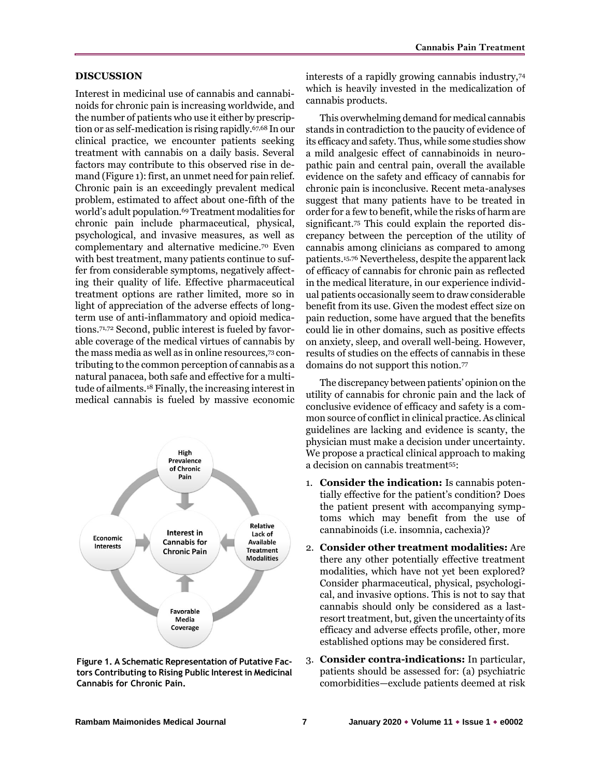#### **DISCUSSION**

Interest in medicinal use of cannabis and cannabinoids for chronic pain is increasing worldwide, and the number of patients who use it either by prescription or as self-medication is rising rapidly.67,68 In our clinical practice, we encounter patients seeking treatment with cannabis on a daily basis. Several factors may contribute to this observed rise in demand (Figure 1): first, an unmet need for pain relief. Chronic pain is an exceedingly prevalent medical problem, estimated to affect about one-fifth of the world's adult population.<sup>69</sup> Treatment modalities for chronic pain include pharmaceutical, physical, psychological, and invasive measures, as well as complementary and alternative medicine.<sup>70</sup> Even with best treatment, many patients continue to suffer from considerable symptoms, negatively affecting their quality of life. Effective pharmaceutical treatment options are rather limited, more so in light of appreciation of the adverse effects of longterm use of anti-inflammatory and opioid medications.71,72 Second, public interest is fueled by favorable coverage of the medical virtues of cannabis by the mass media as well as in online resources,<sup>73</sup> contributing to the common perception of cannabis as a natural panacea, both safe and effective for a multitude of ailments.<sup>18</sup> Finally, the increasing interest in medical cannabis is fueled by massive economic



**Figure 1. A Schematic Representation of Putative Factors Contributing to Rising Public Interest in Medicinal Cannabis for Chronic Pain.**

interests of a rapidly growing cannabis industry,<sup>74</sup> which is heavily invested in the medicalization of cannabis products.

This overwhelming demand for medical cannabis stands in contradiction to the paucity of evidence of its efficacy and safety. Thus, while some studies show a mild analgesic effect of cannabinoids in neuropathic pain and central pain, overall the available evidence on the safety and efficacy of cannabis for chronic pain is inconclusive. Recent meta-analyses suggest that many patients have to be treated in order for a few to benefit, while the risks of harm are significant.<sup>75</sup> This could explain the reported discrepancy between the perception of the utility of cannabis among clinicians as compared to among patients.15,76 Nevertheless, despite the apparent lack of efficacy of cannabis for chronic pain as reflected in the medical literature, in our experience individual patients occasionally seem to draw considerable benefit from its use. Given the modest effect size on pain reduction, some have argued that the benefits could lie in other domains, such as positive effects on anxiety, sleep, and overall well-being. However, results of studies on the effects of cannabis in these domains do not support this notion.<sup>77</sup>

The discrepancy between patients' opinion on the utility of cannabis for chronic pain and the lack of conclusive evidence of efficacy and safety is a common source of conflict in clinical practice. As clinical guidelines are lacking and evidence is scanty, the physician must make a decision under uncertainty. We propose a practical clinical approach to making a decision on cannabis treatment55:

- 1. **Consider the indication:** Is cannabis potentially effective for the patient's condition? Does the patient present with accompanying symptoms which may benefit from the use of cannabinoids (i.e. insomnia, cachexia)?
- 2. **Consider other treatment modalities:** Are there any other potentially effective treatment modalities, which have not yet been explored? Consider pharmaceutical, physical, psychological, and invasive options. This is not to say that cannabis should only be considered as a lastresort treatment, but, given the uncertainty of its efficacy and adverse effects profile, other, more established options may be considered first.
- 3. **Consider contra-indications:** In particular, patients should be assessed for: (a) psychiatric comorbidities—exclude patients deemed at risk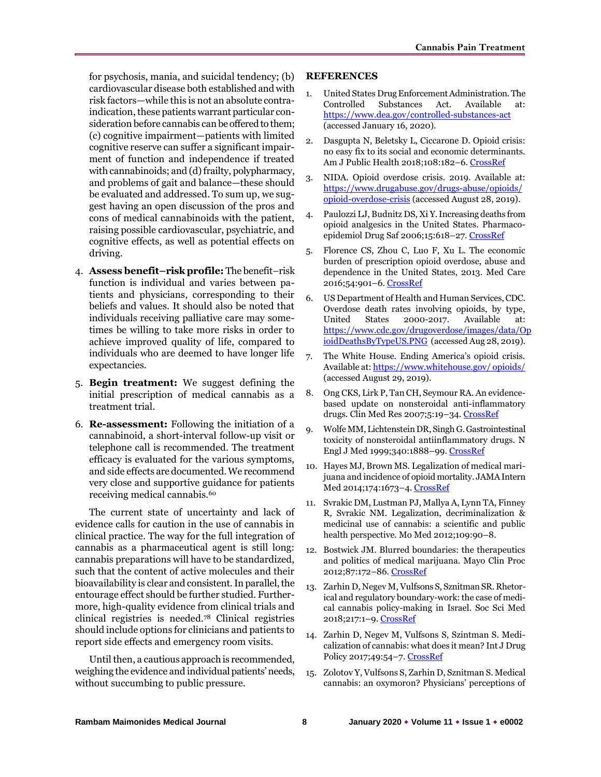for psychosis, mania, and suicidal tendency; (b) cardiovascular disease both established and with risk factors—while this is not an absolute contraindication, these patients warrant particular consideration before cannabis can be offered to them; (c) cognitive impairment—patients with limited cognitive reserve can suffer a significant impairment of function and independence if treated with cannabinoids; and (d) frailty, polypharmacy, and problems of gait and balance—these should be evaluated and addressed. To sum up, we suggest having an open discussion of the pros and cons of medical cannabinoids with the patient, raising possible cardiovascular, psychiatric, and cognitive effects, as well as potential effects on driving.

- 4. **Assess benefit–risk profile:** The benefit–risk function is individual and varies between patients and physicians, corresponding to their beliefs and values. It should also be noted that individuals receiving palliative care may sometimes be willing to take more risks in order to achieve improved quality of life, compared to individuals who are deemed to have longer life expectancies.
- 5. **Begin treatment:** We suggest defining the initial prescription of medical cannabis as a treatment trial.
- 6. **Re-assessment:** Following the initiation of a cannabinoid, a short-interval follow-up visit or telephone call is recommended. The treatment efficacy is evaluated for the various symptoms, and side effects are documented. We recommend very close and supportive guidance for patients receiving medical cannabis.<sup>60</sup>

The current state of uncertainty and lack of evidence calls for caution in the use of cannabis in clinical practice. The way for the full integration of cannabis as a pharmaceutical agent is still long: cannabis preparations will have to be standardized, such that the content of active molecules and their bioavailability is clear and consistent. In parallel, the entourage effect should be further studied. Furthermore, high-quality evidence from clinical trials and clinical registries is needed.<sup>78</sup> Clinical registries should include options for clinicians and patients to report side effects and emergency room visits.

Until then, a cautious approach is recommended, weighing the evidence and individual patients' needs, without succumbing to public pressure.

#### **REFERENCES**

- 1. United States Drug Enforcement Administration. The Controlled Substances Act. Available at: <https://www.dea.gov/controlled-substances-act> (accessed January 16, 2020).
- 2. Dasgupta N, Beletsky L, Ciccarone D. Opioid crisis: no easy fix to its social and economic determinants. Am J Public Health 2018;108:182–6. [CrossRef](https://doi.org/10.2105/AJPH.2017.304187)
- 3. NIDA. Opioid overdose crisis. 2019. Available at: [https://www.drugabuse.gov/drugs-abuse/opioids/](https://www.drugabuse.gov/drugs-abuse/opioids/opioid-overdose-crisis)  [opioid-overdose-crisis](https://www.drugabuse.gov/drugs-abuse/opioids/opioid-overdose-crisis) (accessed August 28, 2019).
- 4. Paulozzi LJ, Budnitz DS, Xi Y. Increasing deaths from opioid analgesics in the United States. Pharmacoepidemiol Drug Saf 2006;15:618–27[. CrossRef](https://doi.org/10.1002/pds.1276)
- 5. Florence CS, Zhou C, Luo F, Xu L. The economic burden of prescription opioid overdose, abuse and dependence in the United States, 2013. Med Care 2016;54:901–6[. CrossRef](https://doi.org/10.1097/MLR.0000000000000625)
- 6. US Department of Health and Human Services, CDC. Overdose death rates involving opioids, by type, United States 2000-2017. Available at: [https://www.cdc.gov/drugoverdose/images/data/Op](https://www.cdc.gov/drugoverdose/images/data/OpioidDeathsByTypeUS.PNG) [ioidDeathsByTypeUS.PNG](https://www.cdc.gov/drugoverdose/images/data/OpioidDeathsByTypeUS.PNG) (accessed Aug 28, 2019).
- 7. The White House. Ending America's opioid crisis. Available at: [https://www.whitehouse.gov/ opioids/](https://www.whitehouse.gov/%20opioids/) (accessed August 29, 2019).
- 8. Ong CKS, Lirk P, Tan CH, Seymour RA. An evidencebased update on nonsteroidal anti-inflammatory drugs. Clin Med Res 2007;5:19–34[. CrossRef](https://doi.org/10.3121/cmr.2007.698)
- 9. Wolfe MM, Lichtenstein DR, Singh G. Gastrointestinal toxicity of nonsteroidal antiinflammatory drugs. N Engl J Med 1999;340:1888–99. [CrossRef](https://doi.org/10.1056/NEJM199906173402407)
- 10. Hayes MJ, Brown MS. Legalization of medical marijuana and incidence of opioid mortality. JAMA Intern Med 2014;174:1673–4. [CrossRef](https://doi.org/10.1001/jamainternmed.2014.2716)
- 11. Svrakic DM, Lustman PJ, Mallya A, Lynn TA, Finney R, Svrakic NM. Legalization, decriminalization & medicinal use of cannabis: a scientific and public health perspective. Mo Med 2012;109:90–8.
- 12. Bostwick JM. Blurred boundaries: the therapeutics and politics of medical marijuana. Mayo Clin Proc 2012;87:172–86. [CrossRef](https://doi.org/10.1016/j.mayocp.2011.10.003)
- 13. Zarhin D, Negev M, Vulfsons S, Sznitman SR. Rhetorical and regulatory boundary-work: the case of medical cannabis policy-making in Israel. Soc Sci Med 2018;217:1–9. [CrossRef](https://doi.org/10.1016/j.socscimed.2018.09.047)
- 14. Zarhin D, Negev M, Vulfsons S, Szintman S. Medicalization of cannabis: what does it mean? Int J Drug Policy 2017;49:54–7[. CrossRef](https://doi.org/10.1016/j.drugpo.2017.07.032)
- 15. Zolotov Y, Vulfsons S, Zarhin D, Sznitman S. Medical cannabis: an oxymoron? Physicians' perceptions of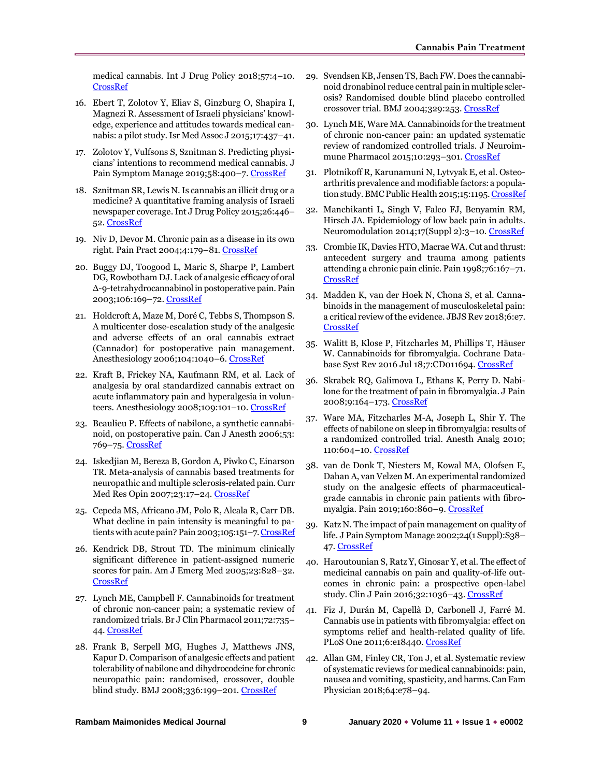medical cannabis. Int J Drug Policy 2018;57:4–10. [CrossRef](https://doi.org/10.1016/j.drugpo.2018.03.025)

- 16. Ebert T, Zolotov Y, Eliav S, Ginzburg O, Shapira I, Magnezi R. Assessment of Israeli physicians' knowledge, experience and attitudes towards medical cannabis: a pilot study. Isr Med Assoc J 2015;17:437–41.
- 17. Zolotov Y, Vulfsons S, Sznitman S. Predicting physicians' intentions to recommend medical cannabis. J Pain Symptom Manage 2019;58:400-7. CrossRef
- 18. Sznitman SR, Lewis N. Is cannabis an illicit drug or a medicine? A quantitative framing analysis of Israeli newspaper coverage. Int J Drug Policy 2015;26:446– 52. [CrossRef](https://doi.org/10.1016/j.drugpo.2015.01.010)
- 19. Niv D, Devor M. Chronic pain as a disease in its own right. Pain Pract 2004;4:179–81[. CrossRef](https://doi.org/10.1111/j.1533-2500.2004.04301.x)
- 20. Buggy DJ, Toogood L, Maric S, Sharpe P, Lambert DG, Rowbotham DJ. Lack of analgesic efficacy of oral Δ-9-tetrahydrocannabinol in postoperative pain. Pain 2003;106:169–72[. CrossRef](https://doi.org/10.1016/s0304-3959(03)00331-2)
- 21. Holdcroft A, Maze M, Doré C, Tebbs S, Thompson S. A multicenter dose-escalation study of the analgesic and adverse effects of an oral cannabis extract (Cannador) for postoperative pain management. Anesthesiology 2006;104:1040–6[. CrossRef](https://doi.org/10.1097/00000542-200605000-00021)
- 22. Kraft B, Frickey NA, Kaufmann RM, et al. Lack of analgesia by oral standardized cannabis extract on acute inflammatory pain and hyperalgesia in volun-teers. Anesthesiology 2008;109:101-10[. CrossRef](https://doi.org/10.1097/ALN.0b013e31817881e1)
- 23. Beaulieu P. Effects of nabilone, a synthetic cannabinoid, on postoperative pain. Can J Anesth 2006;53: 769–75. [CrossRef](https://doi.org/10.1007/BF03022793)
- 24. Iskedjian M, Bereza B, Gordon A, Piwko C, Einarson TR. Meta-analysis of cannabis based treatments for neuropathic and multiple sclerosis-related pain. Curr Med Res Opin 2007;23:17–24[. CrossRef](https://doi.org/10.1185/030079906x158066)
- 25. Cepeda MS, Africano JM, Polo R, Alcala R, Carr DB. What decline in pain intensity is meaningful to pa-tients with acute pain? Pain 2003;105:151-7[. CrossRef](https://doi.org/10.1016/s0304-3959(03)00176-3)
- 26. Kendrick DB, Strout TD. The minimum clinically significant difference in patient-assigned numeric scores for pain. Am J Emerg Med 2005;23:828–32. [CrossRef](https://doi.org/10.1016/j.ajem.2005.07.009)
- 27. Lynch ME, Campbell F. Cannabinoids for treatment of chronic non‐cancer pain; a systematic review of randomized trials. Br J Clin Pharmacol 2011;72:735– 44[. CrossRef](https://doi.org/10.1111/j.1365-2125.2011.03970.x)
- 28. Frank B, Serpell MG, Hughes J, Matthews JNS, Kapur D. Comparison of analgesic effects and patient tolerability of nabilone and dihydrocodeine for chronic neuropathic pain: randomised, crossover, double blind study. BMJ 2008;336:199-201. [CrossRef](https://doi.org/10.1136/bmj.39429.619653.80)
- 29. Svendsen KB, Jensen TS, Bach FW. Does the cannabinoid dronabinol reduce central pain in multiple sclerosis? Randomised double blind placebo controlled crossover trial. BMJ 2004;329:253. [CrossRef](https://doi.org/10.1136/bmj.38149.566979.AE)
- 30. Lynch ME, Ware MA. Cannabinoids for the treatment of chronic non-cancer pain: an updated systematic review of randomized controlled trials. J Neuroimmune Pharmacol 2015;10:293–301[. CrossRef](https://doi.org/10.1007/s11481-015-9600-6)
- 31. Plotnikoff R, Karunamuni N, Lytvyak E, et al. Osteoarthritis prevalence and modifiable factors: a population study. BMC Public Health 2015;15:1195[. CrossRef](https://doi.org/10.1186/s12889-015-2529-0)
- 32. Manchikanti L, Singh V, Falco FJ, Benyamin RM, Hirsch JA. Epidemiology of low back pain in adults. Neuromodulation 2014;17(Suppl 2):3–10[. CrossRef](https://doi.org/10.1111/ner.12018)
- 33. Crombie IK, Davies HTO, Macrae WA. Cut and thrust: antecedent surgery and trauma among patients attending a chronic pain clinic. Pain 1998;76:167–71. [CrossRef](https://doi.org/10.1016/S0304-3959(98)00038-4)
- 34. Madden K, van der Hoek N, Chona S, et al. Cannabinoids in the management of musculoskeletal pain: a critical review of the evidence. JBJS Rev 2018;6:e7. [CrossRef](https://doi.org/10.2106/JBJS.RVW.17.00153)
- 35. Walitt B, Klose P, Fitzcharles M, Phillips T, Häuser W. Cannabinoids for fibromyalgia. Cochrane Database Syst Rev 2016 Jul 18;7:CD011694. [CrossRef](https://doi.org/10.1002/14651858.CD011694.pub2)
- 36. Skrabek RQ, Galimova L, Ethans K, Perry D. Nabilone for the treatment of pain in fibromyalgia. J Pain 2008;9:164–173[. CrossRef](https://doi.org/10.1016/j.jpain.2007.09.002)
- 37. Ware MA, Fitzcharles M-A, Joseph L, Shir Y. The effects of nabilone on sleep in fibromyalgia: results of a randomized controlled trial. Anesth Analg 2010; 110:604–10[. CrossRef](https://doi.org/10.1213/ANE.0b013e3181c76f70)
- 38. van de Donk T, Niesters M, Kowal MA, Olofsen E, Dahan A, van Velzen M. An experimental randomized study on the analgesic effects of pharmaceuticalgrade cannabis in chronic pain patients with fibromyalgia. Pain 2019;160:860–9[. CrossRef](https://doi.org/10.1097/j.pain.0000000000001464)
- 39. Katz N. The impact of pain management on quality of life. J Pain Symptom Manage 2002;24(1 Suppl):S38-47. [CrossRef](https://doi.org/10.1016/s0885-3924(02)00411-6)
- 40. Haroutounian S, Ratz Y, Ginosar Y, et al. The effect of medicinal cannabis on pain and quality-of-life outcomes in chronic pain: a prospective open-label study. Clin J Pain 2016;32:1036–43[. CrossRef](https://doi.org/10.1097/AJP.0000000000000364)
- 41. Fiz J, Durán M, Capellà D, Carbonell J, Farré M. Cannabis use in patients with fibromyalgia: effect on symptoms relief and health-related quality of life. PLoS One 2011;6:e18440. [CrossRef](https://doi.org/10.1371/journal.pone.0018440)
- 42. Allan GM, Finley CR, Ton J, et al. Systematic review of systematic reviews for medical cannabinoids: pain, nausea and vomiting, spasticity, and harms. Can Fam Physician 2018;64:e78–94.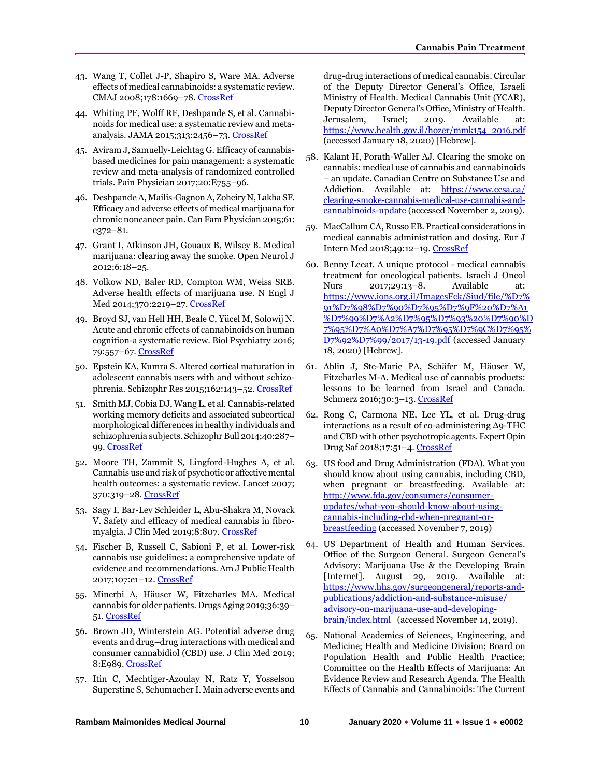- 43. Wang T, Collet J-P, Shapiro S, Ware MA. Adverse effects of medical cannabinoids: a systematic review. CMAJ 2008;178:1669-78. [CrossRef](https://doi.org/10.1503/cmaj.071178)
- 44. Whiting PF, Wolff RF, Deshpande S, et al. Cannabinoids for medical use: a systematic review and metaanalysis. JAMA 2015;313:2456–73[. CrossRef](https://doi.org/10.1001/jama.2015.6358)
- 45. Aviram J, Samuelly-Leichtag G. Efficacy of cannabisbased medicines for pain management: a systematic review and meta-analysis of randomized controlled trials. Pain Physician 2017;20:E755–96.
- 46. Deshpande A, Mailis-Gagnon A, Zoheiry N, Lakha SF. Efficacy and adverse effects of medical marijuana for chronic noncancer pain. Can Fam Physician 2015;61: e372–81.
- 47. Grant I, Atkinson JH, Gouaux B, Wilsey B. Medical marijuana: clearing away the smoke. Open Neurol J 2012;6:18–25.
- 48. Volkow ND, Baler RD, Compton WM, Weiss SRB. Adverse health effects of marijuana use. N Engl J Med 2014;370:2219–27[. CrossRef](https://doi.org/10.1056/NEJMra1402309)
- 49. Broyd SJ, van Hell HH, Beale C, Yücel M, Solowij N. Acute and chronic effects of cannabinoids on human cognition-a systematic review. Biol Psychiatry 2016; 79:557–67. [CrossRef](https://doi.org/10.1016/j.biopsych.2015.12.002)
- 50. Epstein KA, Kumra S. Altered cortical maturation in adolescent cannabis users with and without schizophrenia. Schizophr Res 2015;162:143–52[. CrossRef](https://doi.org/10.1016/j.schres.2014.11.029)
- 51. Smith MJ, Cobia DJ, Wang L, et al. Cannabis-related working memory deficits and associated subcortical morphological differences in healthy individuals and schizophrenia subjects. Schizophr Bull 2014;40:287– 99[. CrossRef](https://doi.org/10.1093/schbul/sbt176)
- 52. Moore TH, Zammit S, Lingford-Hughes A, et al. Cannabis use and risk of psychotic or affective mental health outcomes: a systematic review. Lancet 2007; 370:319–28. [CrossRef](https://doi.org/10.1016/S0140-6736(07)61162-3)
- 53. Sagy I, Bar-Lev Schleider L, Abu-Shakra M, Novack V. Safety and efficacy of medical cannabis in fibromyalgia. J Clin Med 2019;8:807[. CrossRef](https://doi.org/10.3390/jcm8060807)
- 54. Fischer B, Russell C, Sabioni P, et al. Lower-risk cannabis use guidelines: a comprehensive update of evidence and recommendations. Am J Public Health 2017;107:e1–12[. CrossRef](https://doi.org/10.2105/AJPH.2017.303818)
- 55. Minerbi A, Häuser W, Fitzcharles MA. Medical cannabis for older patients. Drugs Aging 2019;36:39– 51. [CrossRef](https://doi.org/10.1007/s40266-018-0616-5)
- 56. Brown JD, Winterstein AG. Potential adverse drug events and drug–drug interactions with medical and consumer cannabidiol (CBD) use. J Clin Med 2019; 8:E989. [CrossRef](https://doi.org/10.3390/jcm8070989)
- 57. Itin C, Mechtiger-Azoulay N, Ratz Y, Yosselson Superstine S, Schumacher I. Main adverse events and

drug-drug interactions of medical cannabis. Circular of the Deputy Director General's Office, Israeli Ministry of Health. Medical Cannabis Unit (YCAR), Deputy Director General's Office, Ministry of Health. Jerusalem, Israel; 2019. Available at: [https://www.health.gov.il/hozer/mmk154\\_2016.pdf](https://www.health.gov.il/hozer/mmk154_2016.pdf)  (accessed January 18, 2020) [Hebrew].

- 58. Kalant H, Porath-Waller AJ. Clearing the smoke on cannabis: medical use of cannabis and cannabinoids – an update. Canadian Centre on Substance Use and Addiction. Available at: [https://www.ccsa.ca/](https://www.ccsa.ca/clearing-smoke-cannabis-medical-use-cannabis-and-cannabinoids-update)  [clearing-smoke-cannabis-medical-use-cannabis-and](https://www.ccsa.ca/clearing-smoke-cannabis-medical-use-cannabis-and-cannabinoids-update)[cannabinoids-update](https://www.ccsa.ca/clearing-smoke-cannabis-medical-use-cannabis-and-cannabinoids-update) (accessed November 2, 2019).
- 59. MacCallum CA, Russo EB. Practical considerations in medical cannabis administration and dosing. Eur J Intern Med 2018;49:12–19. [CrossRef](https://doi.org/10.1016/j.ejim.2018.01.004)
- 60. Benny Leeat. A unique protocol medical cannabis treatment for oncological patients. Israeli J Oncol Nurs 2017;29:13–8. Available at: [https://www.ions.org.il/ImagesFck/Siud/file/%D7%](https://www.ions.org.il/ImagesFck/Siud/file/%D7%91%D7%98%D7%90%D7%95%D7%9F%20%D7%A1%D7%99%D7%A2%D7%95%D7%93%20%D7%90%D7%95%D7%A0%D7%A7%D7%95%D7%9C%D7%95%D7%92%D7%99/2017/13-19.pdf) [91%D7%98%D7%90%D7%95%D7%9F%20%D7%A1](https://www.ions.org.il/ImagesFck/Siud/file/%D7%91%D7%98%D7%90%D7%95%D7%9F%20%D7%A1%D7%99%D7%A2%D7%95%D7%93%20%D7%90%D7%95%D7%A0%D7%A7%D7%95%D7%9C%D7%95%D7%92%D7%99/2017/13-19.pdf) [%D7%99%D7%A2%D7%95%D7%93%20%D7%90%D](https://www.ions.org.il/ImagesFck/Siud/file/%D7%91%D7%98%D7%90%D7%95%D7%9F%20%D7%A1%D7%99%D7%A2%D7%95%D7%93%20%D7%90%D7%95%D7%A0%D7%A7%D7%95%D7%9C%D7%95%D7%92%D7%99/2017/13-19.pdf) [7%95%D7%A0%D7%A7%D7%95%D7%9C%D7%95%](https://www.ions.org.il/ImagesFck/Siud/file/%D7%91%D7%98%D7%90%D7%95%D7%9F%20%D7%A1%D7%99%D7%A2%D7%95%D7%93%20%D7%90%D7%95%D7%A0%D7%A7%D7%95%D7%9C%D7%95%D7%92%D7%99/2017/13-19.pdf) [D7%92%D7%99/2017/13-19.pdf](https://www.ions.org.il/ImagesFck/Siud/file/%D7%91%D7%98%D7%90%D7%95%D7%9F%20%D7%A1%D7%99%D7%A2%D7%95%D7%93%20%D7%90%D7%95%D7%A0%D7%A7%D7%95%D7%9C%D7%95%D7%92%D7%99/2017/13-19.pdf) (accessed January 18, 2020) [Hebrew].
- 61. Ablin J, Ste-Marie PA, Schäfer M, Häuser W, Fitzcharles M-A. Medical use of cannabis products: lessons to be learned from Israel and Canada. Schmerz 2016;30:3–13. [CrossRef](https://doi.org/10.1007/s00482-015-0083-4)
- 62. Rong C, Carmona NE, Lee YL, et al. Drug-drug interactions as a result of co-administering Δ9-THC and CBD with other psychotropic agents. Expert Opin Drug Saf 2018;17:51–4[. CrossRef](https://doi.org/10.1080/14740338.2017.1397128)
- 63. US food and Drug Administration (FDA). What you should know about using cannabis, including CBD, when pregnant or breastfeeding. Available at: [http://www.fda.gov/consumers/consumer](http://www.fda.gov/consumers/consumer-updates/what-you-should-know-about-using-cannabis-including-cbd-when-pregnant-or-breastfeeding)[updates/what-you-should-know-about-using](http://www.fda.gov/consumers/consumer-updates/what-you-should-know-about-using-cannabis-including-cbd-when-pregnant-or-breastfeeding)[cannabis-including-cbd-when-pregnant-or](http://www.fda.gov/consumers/consumer-updates/what-you-should-know-about-using-cannabis-including-cbd-when-pregnant-or-breastfeeding)[breastfeeding](http://www.fda.gov/consumers/consumer-updates/what-you-should-know-about-using-cannabis-including-cbd-when-pregnant-or-breastfeeding) (accessed November 7, 2019)
- 64. US Department of Health and Human Services. Office of the Surgeon General. Surgeon General's Advisory: Marijuana Use & the Developing Brain [Internet]. August 29, 2019. Available at: [https://www.hhs.gov/surgeongeneral/reports-and](https://www.hhs.gov/surgeongeneral/reports-and-publications/addiction-and-substance-misuse/advisory-on-marijuana-use-and-developing-brain/index.html)[publications/addiction-and-substance-misuse/](https://www.hhs.gov/surgeongeneral/reports-and-publications/addiction-and-substance-misuse/advisory-on-marijuana-use-and-developing-brain/index.html)  [advisory-on-marijuana-use-and-developing](https://www.hhs.gov/surgeongeneral/reports-and-publications/addiction-and-substance-misuse/advisory-on-marijuana-use-and-developing-brain/index.html)[brain/index.html](https://www.hhs.gov/surgeongeneral/reports-and-publications/addiction-and-substance-misuse/advisory-on-marijuana-use-and-developing-brain/index.html) (accessed November 14, 2019).
- 65. National Academies of Sciences, Engineering, and Medicine; Health and Medicine Division; Board on Population Health and Public Health Practice; Committee on the Health Effects of Marijuana: An Evidence Review and Research Agenda. The Health Effects of Cannabis and Cannabinoids: The Current